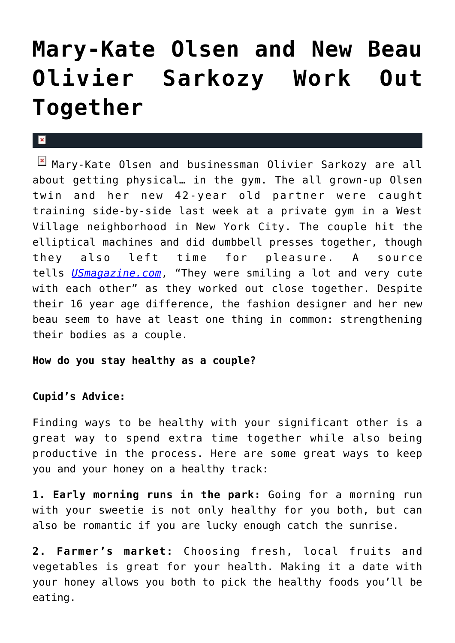## **[Mary-Kate Olsen and New Beau](https://cupidspulse.com/33924/mary-kate-olsen-olivier-sarkozy-work-out-together-nyc/) [Olivier Sarkozy Work Out](https://cupidspulse.com/33924/mary-kate-olsen-olivier-sarkozy-work-out-together-nyc/) [Together](https://cupidspulse.com/33924/mary-kate-olsen-olivier-sarkozy-work-out-together-nyc/)**

## $\mathbf{R}$

Mary-Kate Olsen and businessman Olivier Sarkozy are all about getting physical… in the gym. The all grown-up Olsen twin and her new 42-year old partner were caught training side-by-side last week at a private gym in a West Village neighborhood in New York City. The couple hit the elliptical machines and did dumbbell presses together, though they also left time for pleasure. A source tells *[USmagazine.com](http://www.usmagazine.com/celebrity-news/news/mary-kate-olsen-and-olivier-sarkozy-work-out-together-2012256)*, "They were smiling a lot and very cute with each other" as they worked out close together. Despite their 16 year age difference, the fashion designer and her new beau seem to have at least one thing in common: strengthening their bodies as a couple.

## **How do you stay healthy as a couple?**

## **Cupid's Advice:**

Finding ways to be healthy with your significant other is a great way to spend extra time together while also being productive in the process. Here are some great ways to keep you and your honey on a healthy track:

**1. Early morning runs in the park:** Going for a morning run with your sweetie is not only healthy for you both, but can also be romantic if you are lucky enough catch the sunrise.

**2. Farmer's market:** Choosing fresh, local fruits and vegetables is great for your health. Making it a date with your honey allows you both to pick the healthy foods you'll be eating.